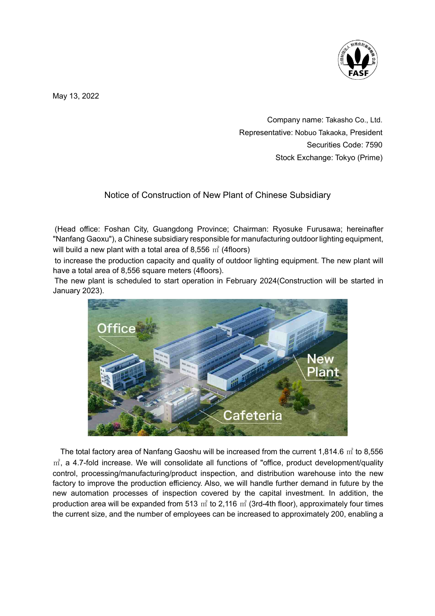

May 13, 2022

Company name: Takasho Co., Ltd. Representative: Nobuo Takaoka, President Securities Code: 7590 Stock Exchange: Tokyo (Prime)

## Notice of Construction of New Plant of Chinese Subsidiary

 (Head office: Foshan City, Guangdong Province; Chairman: Ryosuke Furusawa; hereinafter "Nanfang Gaoxu"), a Chinese subsidiary responsible for manufacturing outdoor lighting equipment, will build a new plant with a total area of 8,556  $m^2$  (4floors)

 to increase the production capacity and quality of outdoor lighting equipment. The new plant will have a total area of 8,556 square meters (4floors).

 The new plant is scheduled to start operation in February 2024(Construction will be started in January 2023).



The total factory area of Nanfang Gaoshu will be increased from the current 1,814.6  $m^2$  to 8,556  $m<sup>2</sup>$ , a 4.7-fold increase. We will consolidate all functions of "office, product development/quality control, processing/manufacturing/product inspection, and distribution warehouse into the new factory to improve the production efficiency. Also, we will handle further demand in future by the new automation processes of inspection covered by the capital investment. In addition, the production area will be expanded from 513  $m^2$  to 2,116  $m^2$  (3rd-4th floor), approximately four times the current size, and the number of employees can be increased to approximately 200, enabling a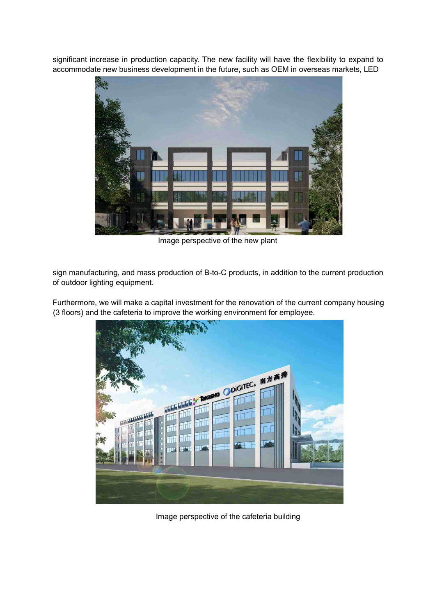significant increase in production capacity. The new facility will have the flexibility to expand to accommodate new business development in the future, such as OEM in overseas markets, LED



Image perspective of the new plant

sign manufacturing, and mass production of B-to-C products, in addition to the current production of outdoor lighting equipment.

Furthermore, we will make a capital investment for the renovation of the current company housing (3 floors) and the cafeteria to improve the working environment for employee.



Image perspective of the cafeteria building